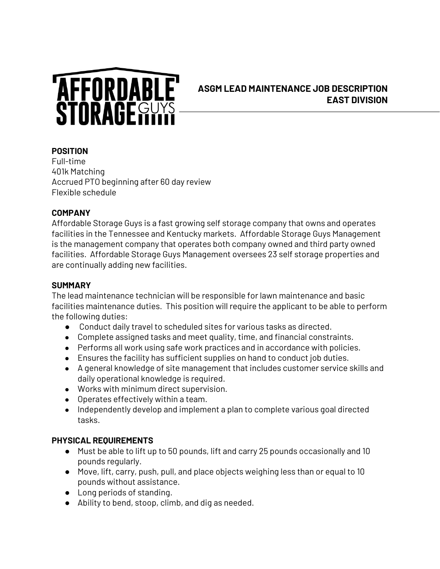

# **ASGM LEAD MAINTENANCE JOB DESCRIPTION EAST DIVISION**

#### **POSITION**

Full-time 401k Matching Accrued PTO beginning after 60 day review Flexible schedule

#### **COMPANY**

Affordable Storage Guys is a fast growing self storage company that owns and operates facilities in the Tennessee and Kentucky markets. Affordable Storage Guys Management is the management company that operates both company owned and third party owned facilities. Affordable Storage Guys Management oversees 23 self storage properties and are continually adding new facilities.

#### **SUMMARY**

The lead maintenance technician will be responsible for lawn maintenance and basic facilities maintenance duties. This position will require the applicant to be able to perform the following duties:

- Conduct daily travel to scheduled sites for various tasks as directed.
- Complete assigned tasks and meet quality, time, and financial constraints.
- Performs all work using safe work practices and in accordance with policies.
- Ensures the facility has sufficient supplies on hand to conduct job duties.
- A general knowledge of site management that includes customer service skills and daily operational knowledge is required.
- Works with minimum direct supervision.
- Operates effectively within a team.
- Independently develop and implement a plan to complete various goal directed tasks.

#### **PHYSICAL REQUIREMENTS**

- Must be able to lift up to 50 pounds, lift and carry 25 pounds occasionally and 10 pounds regularly.
- Move, lift, carry, push, pull, and place objects weighing less than or equal to 10 pounds without assistance.
- Long periods of standing.
- Ability to bend, stoop, climb, and dig as needed.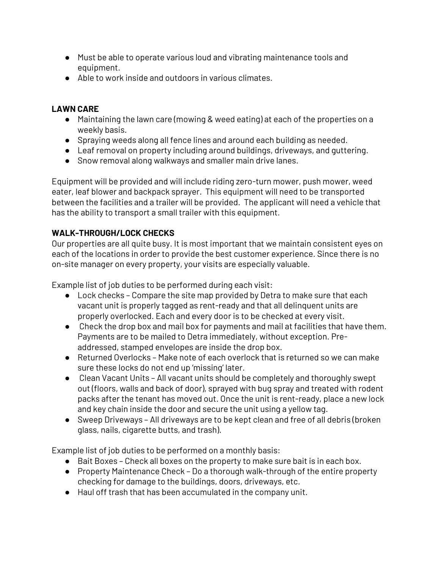- Must be able to operate various loud and vibrating maintenance tools and equipment.
- Able to work inside and outdoors in various climates.

### **LAWN CARE**

- Maintaining the lawn care (mowing & weed eating) at each of the properties on a weekly basis.
- Spraying weeds along all fence lines and around each building as needed.
- Leaf removal on property including around buildings, driveways, and guttering.
- Snow removal along walkways and smaller main drive lanes.

Equipment will be provided and will include riding zero-turn mower, push mower, weed eater, leaf blower and backpack sprayer. This equipment will need to be transported between the facilities and a trailer will be provided. The applicant will need a vehicle that has the ability to transport a small trailer with this equipment.

## **WALK-THROUGH/LOCK CHECKS**

Our properties are all quite busy. It is most important that we maintain consistent eyes on each of the locations in order to provide the best customer experience. Since there is no on-site manager on every property, your visits are especially valuable.

Example list of job duties to be performed during each visit:

- Lock checks Compare the site map provided by Detra to make sure that each vacant unit is properly tagged as rent-ready and that all delinquent units are properly overlocked. Each and every door is to be checked at every visit.
- Check the drop box and mail box for payments and mail at facilities that have them. Payments are to be mailed to Detra immediately, without exception. Preaddressed, stamped envelopes are inside the drop box.
- Returned Overlocks Make note of each overlock that is returned so we can make sure these locks do not end up 'missing' later.
- Clean Vacant Units All vacant units should be completely and thoroughly swept out (floors, walls and back of door), sprayed with bug spray and treated with rodent packs after the tenant has moved out. Once the unit is rent-ready, place a new lock and key chain inside the door and secure the unit using a yellow tag.
- Sweep Driveways All driveways are to be kept clean and free of all debris (broken glass, nails, cigarette butts, and trash).

Example list of job duties to be performed on a monthly basis:

- Bait Boxes Check all boxes on the property to make sure bait is in each box.
- Property Maintenance Check Do a thorough walk-through of the entire property checking for damage to the buildings, doors, driveways, etc.
- Haul off trash that has been accumulated in the company unit.